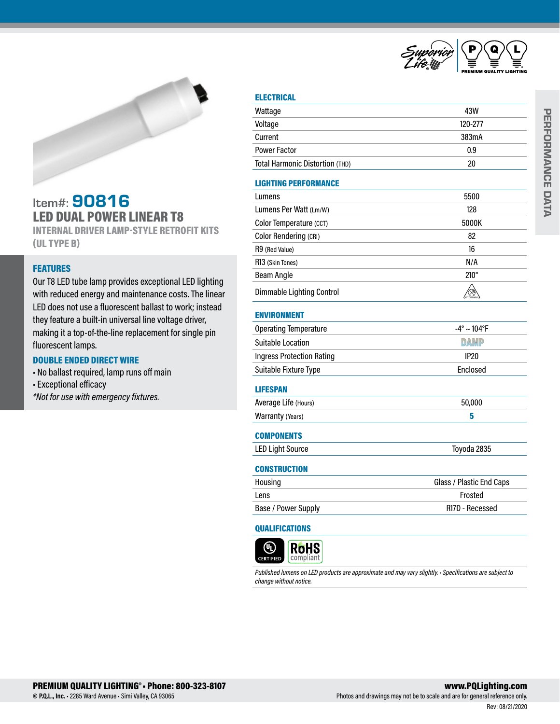



# Item#: 90816 LED DUAL POWER LINEAR T8

INTERNAL DRIVER LAMP-STYLE RETROFIT KITS (UL TYPE B)

## **FEATURES**

Our T8 LED tube lamp provides exceptional LED lighting with reduced energy and maintenance costs. The linear LED does not use a fluorescent ballast to work; instead they feature a built-in universal line voltage driver, making it a top-of-the-line replacement for single pin fluorescent lamps.

### DOUBLE ENDED DIRECT WIRE

- No ballast required, lamp runs off main
- Exceptional efficacy

*\*Not for use with emergency fixtures.* 

## **ELECTRICAL**

| Wattage                          | 43W                            |  |  |
|----------------------------------|--------------------------------|--|--|
| Voltage                          | 120-277                        |  |  |
| Current                          | 383mA                          |  |  |
| <b>Power Factor</b>              | 0.9                            |  |  |
| Total Harmonic Distortion (THD)  | 20                             |  |  |
| <b>LIGHTING PERFORMANCE</b>      |                                |  |  |
| Lumens                           | 5500                           |  |  |
| Lumens Per Watt (Lm/W)           | 128                            |  |  |
| Color Temperature (CCT)          | 5000K                          |  |  |
| <b>Color Rendering (CRI)</b>     | 82                             |  |  |
| R9 (Red Value)                   | 16                             |  |  |
| R13 (Skin Tones)                 | N/A                            |  |  |
| <b>Beam Angle</b>                | $210^\circ$                    |  |  |
| <b>Dimmable Lighting Control</b> | ⊗                              |  |  |
| <b>ENVIRONMENT</b>               |                                |  |  |
| <b>Operating Temperature</b>     | $-4^{\circ} \sim 104^{\circ}F$ |  |  |
| <b>Suitable Location</b>         | <b>DAMP</b>                    |  |  |
| <b>Ingress Protection Rating</b> | <b>IP20</b>                    |  |  |
| Suitable Fixture Type            | Enclosed                       |  |  |
| <b>LIFESPAN</b>                  |                                |  |  |
| Average Life (Hours)             | 50,000                         |  |  |
| Warranty (Years)                 | 5                              |  |  |
| <b>COMPONENTS</b>                |                                |  |  |
| <b>LED Light Source</b>          | Toyoda 2835                    |  |  |
| <b>CONSTRUCTION</b>              |                                |  |  |
| Housing                          | Glass / Plastic End Caps       |  |  |
| Lens                             | Frosted                        |  |  |
| Base / Power Supply              | R17D - Recessed                |  |  |
| QUALIFICATIONS                   |                                |  |  |

#### **RoHS** (4) compliant **CERTIFIED**

*Published lumens on LED products are approximate and may vary slightly. • Specifications are subject to change without notice.*